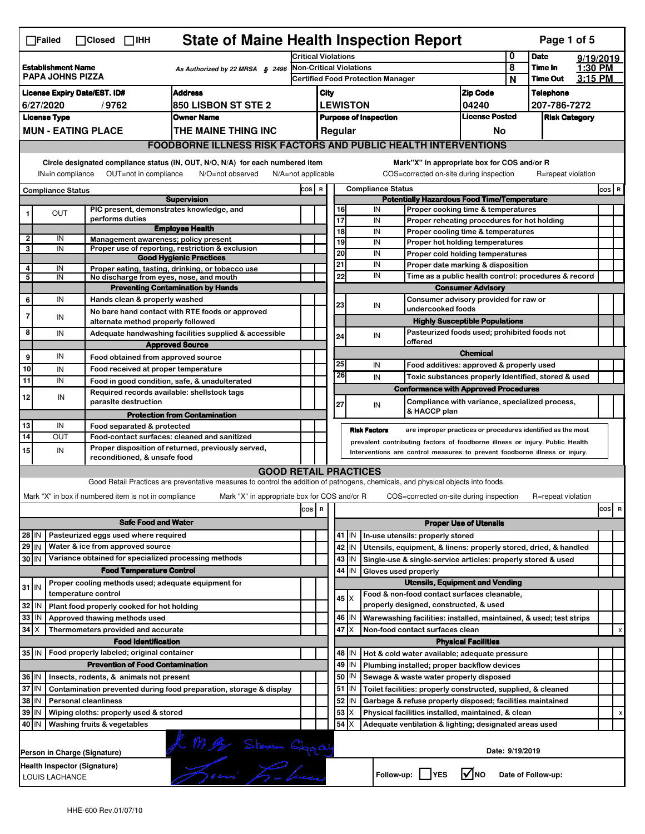|                                                                                                                                                                                                                                                                                       | <b>State of Maine Health Inspection Report</b><br>Page 1 of 5<br>$\Box$ Failed<br>$\Box$ Closed<br>$\square$ IHH                                          |                                                                             |                                                                                                                                   |                                                                              |                                                                                                      |                                                       |         |                      |                                                                                       |                                       |   |                            |                    |     |   |
|---------------------------------------------------------------------------------------------------------------------------------------------------------------------------------------------------------------------------------------------------------------------------------------|-----------------------------------------------------------------------------------------------------------------------------------------------------------|-----------------------------------------------------------------------------|-----------------------------------------------------------------------------------------------------------------------------------|------------------------------------------------------------------------------|------------------------------------------------------------------------------------------------------|-------------------------------------------------------|---------|----------------------|---------------------------------------------------------------------------------------|---------------------------------------|---|----------------------------|--------------------|-----|---|
|                                                                                                                                                                                                                                                                                       |                                                                                                                                                           |                                                                             |                                                                                                                                   |                                                                              | <b>Critical Violations</b>                                                                           |                                                       |         |                      |                                                                                       |                                       |   | <b>Date</b>                | 9/19/2019          |     |   |
|                                                                                                                                                                                                                                                                                       | <b>Establishment Name</b><br>As Authorized by 22 MRSA \$2496<br><b>PAPA JOHNS PIZZA</b>                                                                   |                                                                             |                                                                                                                                   |                                                                              | Non-Critical Violations<br><b>Certified Food Protection Manager</b>                                  |                                                       |         |                      |                                                                                       |                                       | 8 | Time In<br><b>Time Out</b> | 1:30 PM<br>3:15 PM |     |   |
|                                                                                                                                                                                                                                                                                       | <b>Address</b>                                                                                                                                            |                                                                             |                                                                                                                                   |                                                                              |                                                                                                      |                                                       |         |                      |                                                                                       |                                       | N | <b>Telephone</b>           |                    |     |   |
| <b>License Expiry Date/EST. ID#</b><br><b>850 LISBON ST STE 2</b><br>6/27/2020<br>/9762                                                                                                                                                                                               |                                                                                                                                                           |                                                                             |                                                                                                                                   |                                                                              | <b>Zip Code</b><br>City<br><b>LEWISTON</b>                                                           |                                                       |         |                      |                                                                                       | 04240                                 |   | 207-786-7272               |                    |     |   |
|                                                                                                                                                                                                                                                                                       | <b>License Type</b><br><b>Owner Name</b>                                                                                                                  |                                                                             |                                                                                                                                   |                                                                              |                                                                                                      | <b>License Posted</b><br><b>Purpose of Inspection</b> |         |                      |                                                                                       |                                       |   | <b>Risk Category</b>       |                    |     |   |
|                                                                                                                                                                                                                                                                                       |                                                                                                                                                           | <b>MUN - EATING PLACE</b>                                                   | THE MAINE THING INC                                                                                                               |                                                                              | Regular<br>No                                                                                        |                                                       |         |                      |                                                                                       |                                       |   |                            |                    |     |   |
|                                                                                                                                                                                                                                                                                       |                                                                                                                                                           |                                                                             |                                                                                                                                   | <b>FOODBORNE ILLNESS RISK FACTORS AND PUBLIC HEALTH INTERVENTIONS</b>        |                                                                                                      |                                                       |         |                      |                                                                                       |                                       |   |                            |                    |     |   |
| Circle designated compliance status (IN, OUT, N/O, N/A) for each numbered item<br>Mark"X" in appropriate box for COS and/or R<br>OUT=not in compliance<br>N/O=not observed<br>COS=corrected on-site during inspection<br>IN=in compliance<br>N/A=not applicable<br>R=repeat violation |                                                                                                                                                           |                                                                             |                                                                                                                                   |                                                                              |                                                                                                      |                                                       |         |                      |                                                                                       |                                       |   |                            |                    |     |   |
|                                                                                                                                                                                                                                                                                       | <b>Compliance Status</b>                                                                                                                                  |                                                                             |                                                                                                                                   |                                                                              | <b>Compliance Status</b><br>COS R                                                                    |                                                       |         |                      |                                                                                       |                                       |   |                            | COS R              |     |   |
| <b>Supervision</b><br>PIC present, demonstrates knowledge, and                                                                                                                                                                                                                        |                                                                                                                                                           |                                                                             |                                                                                                                                   |                                                                              | <b>Potentially Hazardous Food Time/Temperature</b><br>16<br>IN<br>Proper cooking time & temperatures |                                                       |         |                      |                                                                                       |                                       |   |                            |                    |     |   |
| 1                                                                                                                                                                                                                                                                                     | OUT                                                                                                                                                       | performs duties                                                             |                                                                                                                                   |                                                                              |                                                                                                      | $\overline{17}$                                       |         | IN                   | Proper reheating procedures for hot holding                                           |                                       |   |                            |                    |     |   |
|                                                                                                                                                                                                                                                                                       |                                                                                                                                                           |                                                                             | <b>Employee Health</b>                                                                                                            |                                                                              |                                                                                                      | 18                                                    |         | IN                   | Proper cooling time & temperatures                                                    |                                       |   |                            |                    |     |   |
| $\overline{\mathbf{2}}$<br>3                                                                                                                                                                                                                                                          | IN<br>IN                                                                                                                                                  | Management awareness; policy present                                        | Proper use of reporting, restriction & exclusion                                                                                  |                                                                              |                                                                                                      | 19                                                    |         | IN                   | Proper hot holding temperatures                                                       |                                       |   |                            |                    |     |   |
|                                                                                                                                                                                                                                                                                       |                                                                                                                                                           |                                                                             | <b>Good Hygienic Practices</b>                                                                                                    |                                                                              |                                                                                                      | $\overline{20}$                                       |         | IN                   | Proper cold holding temperatures                                                      |                                       |   |                            |                    |     |   |
| 4                                                                                                                                                                                                                                                                                     | IN                                                                                                                                                        |                                                                             | Proper eating, tasting, drinking, or tobacco use                                                                                  |                                                                              |                                                                                                      | 21                                                    |         | IN                   | Proper date marking & disposition                                                     |                                       |   |                            |                    |     |   |
| 5                                                                                                                                                                                                                                                                                     | IN                                                                                                                                                        | No discharge from eyes, nose, and mouth                                     |                                                                                                                                   |                                                                              |                                                                                                      | 22                                                    |         | IN                   | Time as a public health control: procedures & record                                  |                                       |   |                            |                    |     |   |
|                                                                                                                                                                                                                                                                                       |                                                                                                                                                           |                                                                             | <b>Preventing Contamination by Hands</b>                                                                                          |                                                                              |                                                                                                      |                                                       |         |                      |                                                                                       | <b>Consumer Advisory</b>              |   |                            |                    |     |   |
| 6                                                                                                                                                                                                                                                                                     | IN                                                                                                                                                        | Hands clean & properly washed                                               |                                                                                                                                   |                                                                              |                                                                                                      | 23                                                    |         | IN                   | undercooked foods                                                                     | Consumer advisory provided for raw or |   |                            |                    |     |   |
| $\overline{7}$                                                                                                                                                                                                                                                                        | IN                                                                                                                                                        | alternate method properly followed                                          | No bare hand contact with RTE foods or approved                                                                                   |                                                                              |                                                                                                      |                                                       |         |                      |                                                                                       | <b>Highly Susceptible Populations</b> |   |                            |                    |     |   |
| 8                                                                                                                                                                                                                                                                                     | IN                                                                                                                                                        |                                                                             | Adequate handwashing facilities supplied & accessible                                                                             |                                                                              |                                                                                                      |                                                       |         | IN                   | Pasteurized foods used; prohibited foods not                                          |                                       |   |                            |                    |     |   |
|                                                                                                                                                                                                                                                                                       |                                                                                                                                                           |                                                                             | <b>Approved Source</b>                                                                                                            |                                                                              |                                                                                                      | 24                                                    |         |                      | offered                                                                               |                                       |   |                            |                    |     |   |
| 9                                                                                                                                                                                                                                                                                     | IN                                                                                                                                                        | Food obtained from approved source                                          |                                                                                                                                   |                                                                              |                                                                                                      |                                                       |         |                      |                                                                                       | <b>Chemical</b>                       |   |                            |                    |     |   |
| 10                                                                                                                                                                                                                                                                                    | IN                                                                                                                                                        | Food received at proper temperature                                         |                                                                                                                                   |                                                                              |                                                                                                      | 25                                                    |         | IN                   | Food additives: approved & properly used                                              |                                       |   |                            |                    |     |   |
| 11                                                                                                                                                                                                                                                                                    | IN                                                                                                                                                        | Food in good condition, safe, & unadulterated                               |                                                                                                                                   |                                                                              |                                                                                                      | 26                                                    |         | IN                   | Toxic substances properly identified, stored & used                                   |                                       |   |                            |                    |     |   |
|                                                                                                                                                                                                                                                                                       |                                                                                                                                                           | Required records available: shellstock tags                                 |                                                                                                                                   |                                                                              |                                                                                                      |                                                       |         |                      | <b>Conformance with Approved Procedures</b>                                           |                                       |   |                            |                    |     |   |
| 12                                                                                                                                                                                                                                                                                    | IN                                                                                                                                                        | parasite destruction                                                        |                                                                                                                                   |                                                                              |                                                                                                      | 27                                                    |         | IN                   | Compliance with variance, specialized process,                                        |                                       |   |                            |                    |     |   |
|                                                                                                                                                                                                                                                                                       |                                                                                                                                                           |                                                                             | <b>Protection from Contamination</b>                                                                                              |                                                                              |                                                                                                      |                                                       |         |                      | & HACCP plan                                                                          |                                       |   |                            |                    |     |   |
| 13                                                                                                                                                                                                                                                                                    | IN                                                                                                                                                        | Food separated & protected                                                  |                                                                                                                                   |                                                                              |                                                                                                      |                                                       |         | <b>Risk Factors</b>  | are improper practices or procedures identified as the most                           |                                       |   |                            |                    |     |   |
| 14                                                                                                                                                                                                                                                                                    | OUT                                                                                                                                                       | Food-contact surfaces: cleaned and sanitized                                |                                                                                                                                   | prevalent contributing factors of foodborne illness or injury. Public Health |                                                                                                      |                                                       |         |                      |                                                                                       |                                       |   |                            |                    |     |   |
| 15                                                                                                                                                                                                                                                                                    | IN                                                                                                                                                        | reconditioned, & unsafe food                                                | Proper disposition of returned, previously served,                                                                                | Interventions are control measures to prevent foodborne illness or injury.   |                                                                                                      |                                                       |         |                      |                                                                                       |                                       |   |                            |                    |     |   |
|                                                                                                                                                                                                                                                                                       |                                                                                                                                                           |                                                                             | <b>GOOD RETAIL PRACTICES</b>                                                                                                      |                                                                              |                                                                                                      |                                                       |         |                      |                                                                                       |                                       |   |                            |                    |     |   |
|                                                                                                                                                                                                                                                                                       |                                                                                                                                                           |                                                                             | Good Retail Practices are preventative measures to control the addition of pathogens, chemicals, and physical objects into foods. |                                                                              |                                                                                                      |                                                       |         |                      |                                                                                       |                                       |   |                            |                    |     |   |
|                                                                                                                                                                                                                                                                                       |                                                                                                                                                           | Mark "X" in box if numbered item is not in compliance                       |                                                                                                                                   |                                                                              |                                                                                                      |                                                       |         |                      |                                                                                       |                                       |   |                            |                    |     |   |
|                                                                                                                                                                                                                                                                                       |                                                                                                                                                           |                                                                             | Mark "X" in appropriate box for COS and/or R                                                                                      |                                                                              |                                                                                                      |                                                       |         |                      | COS=corrected on-site during inspection                                               |                                       |   | R=repeat violation         |                    |     |   |
|                                                                                                                                                                                                                                                                                       |                                                                                                                                                           |                                                                             |                                                                                                                                   | cos                                                                          | $\overline{\mathbf{R}}$                                                                              |                                                       |         |                      |                                                                                       |                                       |   |                            |                    | cos | R |
|                                                                                                                                                                                                                                                                                       |                                                                                                                                                           | <b>Safe Food and Water</b>                                                  |                                                                                                                                   |                                                                              |                                                                                                      |                                                       |         |                      |                                                                                       | <b>Proper Use of Utensils</b>         |   |                            |                    |     |   |
| 28 IN                                                                                                                                                                                                                                                                                 |                                                                                                                                                           | Pasteurized eggs used where required                                        |                                                                                                                                   |                                                                              |                                                                                                      |                                                       | $41$ M  |                      | In-use utensils: properly stored                                                      |                                       |   |                            |                    |     |   |
| $29$ IN                                                                                                                                                                                                                                                                               |                                                                                                                                                           | Water & ice from approved source                                            |                                                                                                                                   |                                                                              |                                                                                                      |                                                       | 42 IN   |                      | Utensils, equipment, & linens: properly stored, dried, & handled                      |                                       |   |                            |                    |     |   |
| 30 IN                                                                                                                                                                                                                                                                                 |                                                                                                                                                           | Variance obtained for specialized processing methods                        |                                                                                                                                   |                                                                              |                                                                                                      | 43                                                    | IN      |                      | Single-use & single-service articles: properly stored & used                          |                                       |   |                            |                    |     |   |
|                                                                                                                                                                                                                                                                                       |                                                                                                                                                           | <b>Food Temperature Control</b>                                             |                                                                                                                                   |                                                                              |                                                                                                      | 44                                                    | IN      | Gloves used properly |                                                                                       |                                       |   |                            |                    |     |   |
| $31$ IN                                                                                                                                                                                                                                                                               |                                                                                                                                                           | Proper cooling methods used; adequate equipment for<br>temperature control  |                                                                                                                                   |                                                                              |                                                                                                      |                                                       |         |                      | <b>Utensils, Equipment and Vending</b>                                                |                                       |   |                            |                    |     |   |
| 32 IN                                                                                                                                                                                                                                                                                 |                                                                                                                                                           |                                                                             |                                                                                                                                   |                                                                              |                                                                                                      |                                                       | 45   X  |                      | Food & non-food contact surfaces cleanable,<br>properly designed, constructed, & used |                                       |   |                            |                    |     |   |
| 33 IN                                                                                                                                                                                                                                                                                 |                                                                                                                                                           | Plant food properly cooked for hot holding<br>Approved thawing methods used |                                                                                                                                   |                                                                              |                                                                                                      |                                                       | 46   IN |                      | Warewashing facilities: installed, maintained, & used; test strips                    |                                       |   |                            |                    |     |   |
| $34 \times$                                                                                                                                                                                                                                                                           |                                                                                                                                                           | Thermometers provided and accurate                                          |                                                                                                                                   |                                                                              |                                                                                                      | 47                                                    | X       |                      | Non-food contact surfaces clean                                                       |                                       |   |                            |                    |     | х |
|                                                                                                                                                                                                                                                                                       |                                                                                                                                                           | <b>Food Identification</b>                                                  |                                                                                                                                   |                                                                              |                                                                                                      |                                                       |         |                      |                                                                                       | <b>Physical Facilities</b>            |   |                            |                    |     |   |
|                                                                                                                                                                                                                                                                                       |                                                                                                                                                           | 35   IN   Food properly labeled; original container                         |                                                                                                                                   |                                                                              |                                                                                                      |                                                       | 48   IN |                      | Hot & cold water available; adequate pressure                                         |                                       |   |                            |                    |     |   |
|                                                                                                                                                                                                                                                                                       |                                                                                                                                                           | <b>Prevention of Food Contamination</b>                                     |                                                                                                                                   |                                                                              |                                                                                                      |                                                       | 49 IN   |                      | Plumbing installed; proper backflow devices                                           |                                       |   |                            |                    |     |   |
| 36 IN                                                                                                                                                                                                                                                                                 |                                                                                                                                                           | Insects, rodents, & animals not present                                     |                                                                                                                                   |                                                                              |                                                                                                      | 50                                                    | IN      |                      | Sewage & waste water properly disposed                                                |                                       |   |                            |                    |     |   |
|                                                                                                                                                                                                                                                                                       | $37$ IN<br>51<br>Contamination prevented during food preparation, storage & display<br>Toilet facilities: properly constructed, supplied, & cleaned<br>IN |                                                                             |                                                                                                                                   |                                                                              |                                                                                                      |                                                       |         |                      |                                                                                       |                                       |   |                            |                    |     |   |
|                                                                                                                                                                                                                                                                                       | 38 IN<br>52<br><b>Personal cleanliness</b><br>Garbage & refuse properly disposed; facilities maintained<br>IN                                             |                                                                             |                                                                                                                                   |                                                                              |                                                                                                      |                                                       |         |                      |                                                                                       |                                       |   |                            |                    |     |   |
|                                                                                                                                                                                                                                                                                       | 39 IN<br>53<br>Wiping cloths: properly used & stored<br>ΙX<br>Physical facilities installed, maintained, & clean                                          |                                                                             |                                                                                                                                   |                                                                              |                                                                                                      |                                                       | X       |                      |                                                                                       |                                       |   |                            |                    |     |   |
|                                                                                                                                                                                                                                                                                       | 54<br>40 IN<br>ΙX<br>Washing fruits & vegetables<br>Adequate ventilation & lighting; designated areas used                                                |                                                                             |                                                                                                                                   |                                                                              |                                                                                                      |                                                       |         |                      |                                                                                       |                                       |   |                            |                    |     |   |
|                                                                                                                                                                                                                                                                                       |                                                                                                                                                           |                                                                             |                                                                                                                                   |                                                                              |                                                                                                      |                                                       |         |                      |                                                                                       |                                       |   |                            |                    |     |   |
|                                                                                                                                                                                                                                                                                       | R M By Shownen Gigorey<br>Date: 9/19/2019<br>Person in Charge (Signature)                                                                                 |                                                                             |                                                                                                                                   |                                                                              |                                                                                                      |                                                       |         |                      |                                                                                       |                                       |   |                            |                    |     |   |
|                                                                                                                                                                                                                                                                                       |                                                                                                                                                           |                                                                             |                                                                                                                                   |                                                                              |                                                                                                      |                                                       |         |                      |                                                                                       |                                       |   |                            |                    |     |   |
|                                                                                                                                                                                                                                                                                       | Health Inspector (Signature)<br>$\sqrt{ }$ NO<br>Follow-up:     YES<br>Date of Follow-up:<br>LOUIS LACHANCE                                               |                                                                             |                                                                                                                                   |                                                                              |                                                                                                      |                                                       |         |                      |                                                                                       |                                       |   |                            |                    |     |   |
|                                                                                                                                                                                                                                                                                       |                                                                                                                                                           |                                                                             |                                                                                                                                   |                                                                              |                                                                                                      |                                                       |         |                      |                                                                                       |                                       |   |                            |                    |     |   |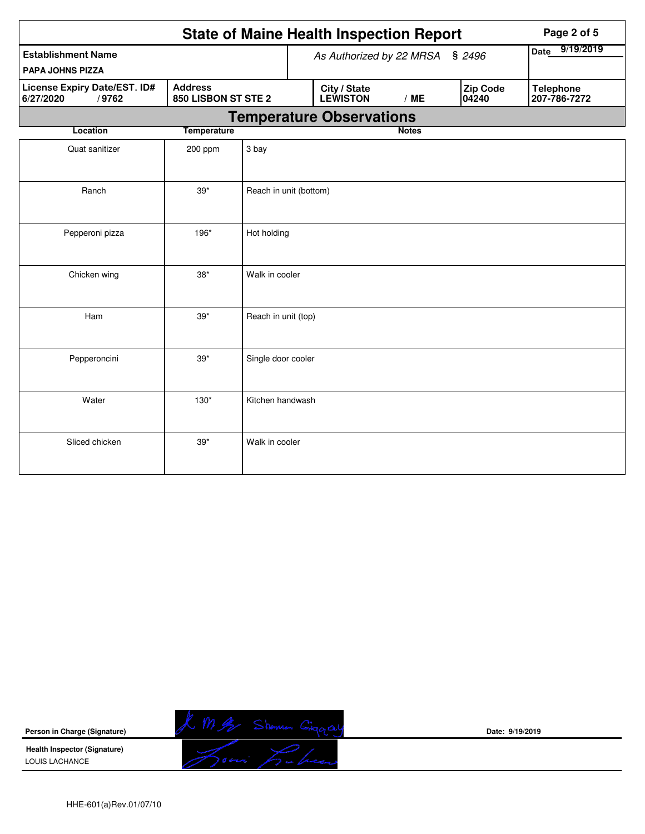| <b>State of Maine Health Inspection Report</b>                                              |                    |                                 |  |                                 |              |           |                          |  | Page 2 of 5                      |
|---------------------------------------------------------------------------------------------|--------------------|---------------------------------|--|---------------------------------|--------------|-----------|--------------------------|--|----------------------------------|
| <b>Establishment Name</b>                                                                   |                    |                                 |  | As Authorized by 22 MRSA § 2496 | Date         | 9/19/2019 |                          |  |                                  |
| <b>PAPA JOHNS PIZZA</b>                                                                     |                    |                                 |  |                                 |              |           |                          |  |                                  |
| <b>Address</b><br>License Expiry Date/EST. ID#<br>/9762<br>850 LISBON ST STE 2<br>6/27/2020 |                    |                                 |  | City / State<br><b>LEWISTON</b> | /ME          |           | <b>Zip Code</b><br>04240 |  | <b>Telephone</b><br>207-786-7272 |
|                                                                                             |                    | <b>Temperature Observations</b> |  |                                 |              |           |                          |  |                                  |
| Location                                                                                    | <b>Temperature</b> |                                 |  |                                 | <b>Notes</b> |           |                          |  |                                  |
| Quat sanitizer                                                                              | 200 ppm            | 3 bay                           |  |                                 |              |           |                          |  |                                  |
| Ranch                                                                                       | $39*$              | Reach in unit (bottom)          |  |                                 |              |           |                          |  |                                  |
| Pepperoni pizza                                                                             | 196*               | Hot holding                     |  |                                 |              |           |                          |  |                                  |
| Chicken wing                                                                                | $38*$              | Walk in cooler                  |  |                                 |              |           |                          |  |                                  |
| Ham                                                                                         | $39*$              | Reach in unit (top)             |  |                                 |              |           |                          |  |                                  |
| Pepperoncini                                                                                | $39*$              | Single door cooler              |  |                                 |              |           |                          |  |                                  |
| Water                                                                                       | $130*$             | Kitchen handwash                |  |                                 |              |           |                          |  |                                  |
| Sliced chicken                                                                              | $39*$              | Walk in cooler                  |  |                                 |              |           |                          |  |                                  |



**Date: 9/19/2019**

HHE-601(a)Rev.01/07/10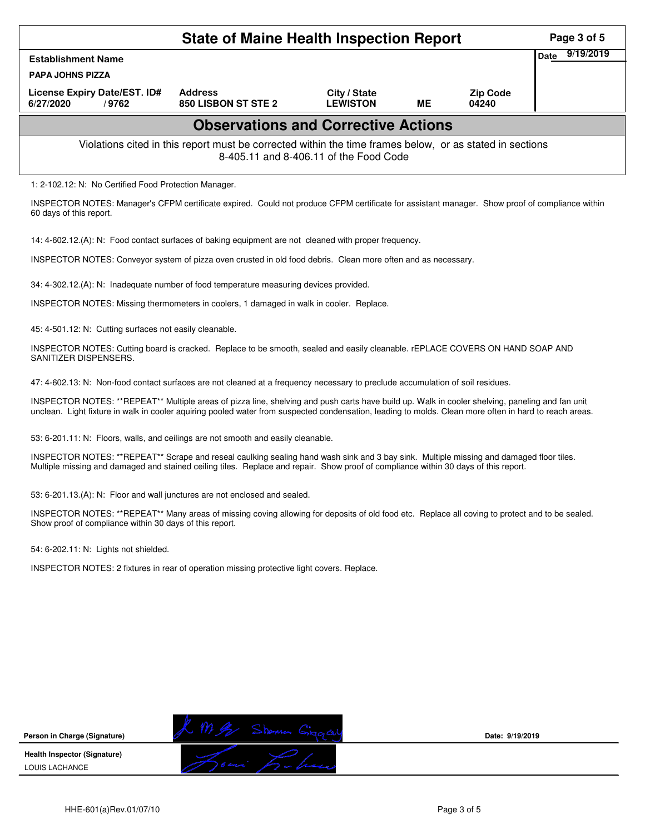| <b>State of Maine Health Inspection Report</b>                                                                                                                                                                                                                                                            |                                                                                                                                                |                                 |           |                          |                          |  |  |  |  |
|-----------------------------------------------------------------------------------------------------------------------------------------------------------------------------------------------------------------------------------------------------------------------------------------------------------|------------------------------------------------------------------------------------------------------------------------------------------------|---------------------------------|-----------|--------------------------|--------------------------|--|--|--|--|
| <b>Establishment Name</b>                                                                                                                                                                                                                                                                                 |                                                                                                                                                |                                 |           |                          | 9/19/2019<br><b>Date</b> |  |  |  |  |
| <b>PAPA JOHNS PIZZA</b>                                                                                                                                                                                                                                                                                   |                                                                                                                                                |                                 |           |                          |                          |  |  |  |  |
| License Expiry Date/EST. ID#<br>6/27/2020<br>/9762                                                                                                                                                                                                                                                        | <b>Address</b><br>850 LISBON ST STE 2                                                                                                          | City / State<br><b>LEWISTON</b> | <b>ME</b> | <b>Zip Code</b><br>04240 |                          |  |  |  |  |
| <b>Observations and Corrective Actions</b>                                                                                                                                                                                                                                                                |                                                                                                                                                |                                 |           |                          |                          |  |  |  |  |
| Violations cited in this report must be corrected within the time frames below, or as stated in sections<br>8-405.11 and 8-406.11 of the Food Code                                                                                                                                                        |                                                                                                                                                |                                 |           |                          |                          |  |  |  |  |
| 1: 2-102.12: N: No Certified Food Protection Manager.                                                                                                                                                                                                                                                     |                                                                                                                                                |                                 |           |                          |                          |  |  |  |  |
| 60 days of this report.                                                                                                                                                                                                                                                                                   | INSPECTOR NOTES: Manager's CFPM certificate expired. Could not produce CFPM certificate for assistant manager. Show proof of compliance within |                                 |           |                          |                          |  |  |  |  |
| 14: 4-602.12.(A): N: Food contact surfaces of baking equipment are not cleaned with proper frequency.                                                                                                                                                                                                     |                                                                                                                                                |                                 |           |                          |                          |  |  |  |  |
|                                                                                                                                                                                                                                                                                                           | INSPECTOR NOTES: Conveyor system of pizza oven crusted in old food debris. Clean more often and as necessary.                                  |                                 |           |                          |                          |  |  |  |  |
| 34: 4-302.12.(A): N: Inadequate number of food temperature measuring devices provided.                                                                                                                                                                                                                    |                                                                                                                                                |                                 |           |                          |                          |  |  |  |  |
|                                                                                                                                                                                                                                                                                                           | INSPECTOR NOTES: Missing thermometers in coolers, 1 damaged in walk in cooler. Replace.                                                        |                                 |           |                          |                          |  |  |  |  |
| 45: 4-501.12: N: Cutting surfaces not easily cleanable.                                                                                                                                                                                                                                                   |                                                                                                                                                |                                 |           |                          |                          |  |  |  |  |
| INSPECTOR NOTES: Cutting board is cracked. Replace to be smooth, sealed and easily cleanable. rEPLACE COVERS ON HAND SOAP AND<br>SANITIZER DISPENSERS.                                                                                                                                                    |                                                                                                                                                |                                 |           |                          |                          |  |  |  |  |
|                                                                                                                                                                                                                                                                                                           | 47: 4-602.13: N: Non-food contact surfaces are not cleaned at a frequency necessary to preclude accumulation of soil residues.                 |                                 |           |                          |                          |  |  |  |  |
| INSPECTOR NOTES: **REPEAT** Multiple areas of pizza line, shelving and push carts have build up. Walk in cooler shelving, paneling and fan unit<br>unclean. Light fixture in walk in cooler aquiring pooled water from suspected condensation, leading to molds. Clean more often in hard to reach areas. |                                                                                                                                                |                                 |           |                          |                          |  |  |  |  |
| 53: 6-201.11: N: Floors, walls, and ceilings are not smooth and easily cleanable.                                                                                                                                                                                                                         |                                                                                                                                                |                                 |           |                          |                          |  |  |  |  |
| Multiple missing and damaged and stained ceiling tiles. Replace and repair. Show proof of compliance within 30 days of this report.                                                                                                                                                                       | INSPECTOR NOTES: **REPEAT** Scrape and reseal caulking sealing hand wash sink and 3 bay sink. Multiple missing and damaged floor tiles.        |                                 |           |                          |                          |  |  |  |  |

53: 6-201.13.(A): N: Floor and wall junctures are not enclosed and sealed.

INSPECTOR NOTES: \*\*REPEAT\*\* Many areas of missing coving allowing for deposits of old food etc. Replace all coving to protect and to be sealed. Show proof of compliance within 30 days of this report.

54: 6-202.11: N: Lights not shielded.

INSPECTOR NOTES: 2 fixtures in rear of operation missing protective light covers. Replace.

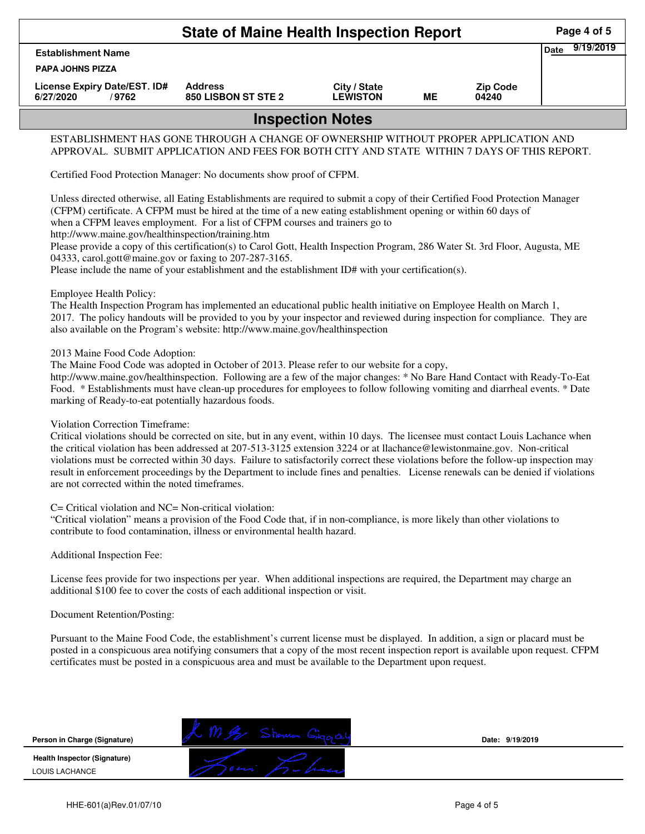|                                                    | Page 4 of 5                           |                                 |    |                          |  |  |  |  |  |
|----------------------------------------------------|---------------------------------------|---------------------------------|----|--------------------------|--|--|--|--|--|
| <b>Date</b><br><b>Establishment Name</b>           |                                       |                                 |    |                          |  |  |  |  |  |
| <b>PAPA JOHNS PIZZA</b>                            |                                       |                                 |    |                          |  |  |  |  |  |
| License Expiry Date/EST. ID#<br>6/27/2020<br>/9762 | <b>Address</b><br>850 LISBON ST STE 2 | City / State<br><b>LEWISTON</b> | MЕ | <b>Zip Code</b><br>04240 |  |  |  |  |  |
| <b>Inspection Notes</b>                            |                                       |                                 |    |                          |  |  |  |  |  |

## ESTABLISHMENT HAS GONE THROUGH A CHANGE OF OWNERSHIP WITHOUT PROPER APPLICATION AND APPROVAL. SUBMIT APPLICATION AND FEES FOR BOTH CITY AND STATE WITHIN 7 DAYS OF THIS REPORT.

Certified Food Protection Manager: No documents show proof of CFPM.

Unless directed otherwise, all Eating Establishments are required to submit a copy of their Certified Food Protection Manager (CFPM) certificate. A CFPM must be hired at the time of a new eating establishment opening or within 60 days of when a CFPM leaves employment. For a list of CFPM courses and trainers go to http://www.maine.gov/healthinspection/training.htm

Please provide a copy of this certification(s) to Carol Gott, Health Inspection Program, 286 Water St. 3rd Floor, Augusta, ME 04333, carol.gott@maine.gov or faxing to 207-287-3165.

Please include the name of your establishment and the establishment ID# with your certification(s).

Employee Health Policy:

The Health Inspection Program has implemented an educational public health initiative on Employee Health on March 1, 2017. The policy handouts will be provided to you by your inspector and reviewed during inspection for compliance. They are also available on the Program's website: http://www.maine.gov/healthinspection

2013 Maine Food Code Adoption:

The Maine Food Code was adopted in October of 2013. Please refer to our website for a copy,

http://www.maine.gov/healthinspection. Following are a few of the major changes: \* No Bare Hand Contact with Ready-To-Eat Food. \* Establishments must have clean-up procedures for employees to follow following vomiting and diarrheal events. \* Date marking of Ready-to-eat potentially hazardous foods.

## Violation Correction Timeframe:

Critical violations should be corrected on site, but in any event, within 10 days. The licensee must contact Louis Lachance when the critical violation has been addressed at 207-513-3125 extension 3224 or at llachance@lewistonmaine.gov. Non-critical violations must be corrected within 30 days. Failure to satisfactorily correct these violations before the follow-up inspection may result in enforcement proceedings by the Department to include fines and penalties. License renewals can be denied if violations are not corrected within the noted timeframes.

C= Critical violation and NC= Non-critical violation:

"Critical violation" means a provision of the Food Code that, if in non-compliance, is more likely than other violations to contribute to food contamination, illness or environmental health hazard.

Additional Inspection Fee:

License fees provide for two inspections per year. When additional inspections are required, the Department may charge an additional \$100 fee to cover the costs of each additional inspection or visit.

Document Retention/Posting:

Pursuant to the Maine Food Code, the establishment's current license must be displayed. In addition, a sign or placard must be posted in a conspicuous area notifying consumers that a copy of the most recent inspection report is available upon request. CFPM certificates must be posted in a conspicuous area and must be available to the Department upon request.